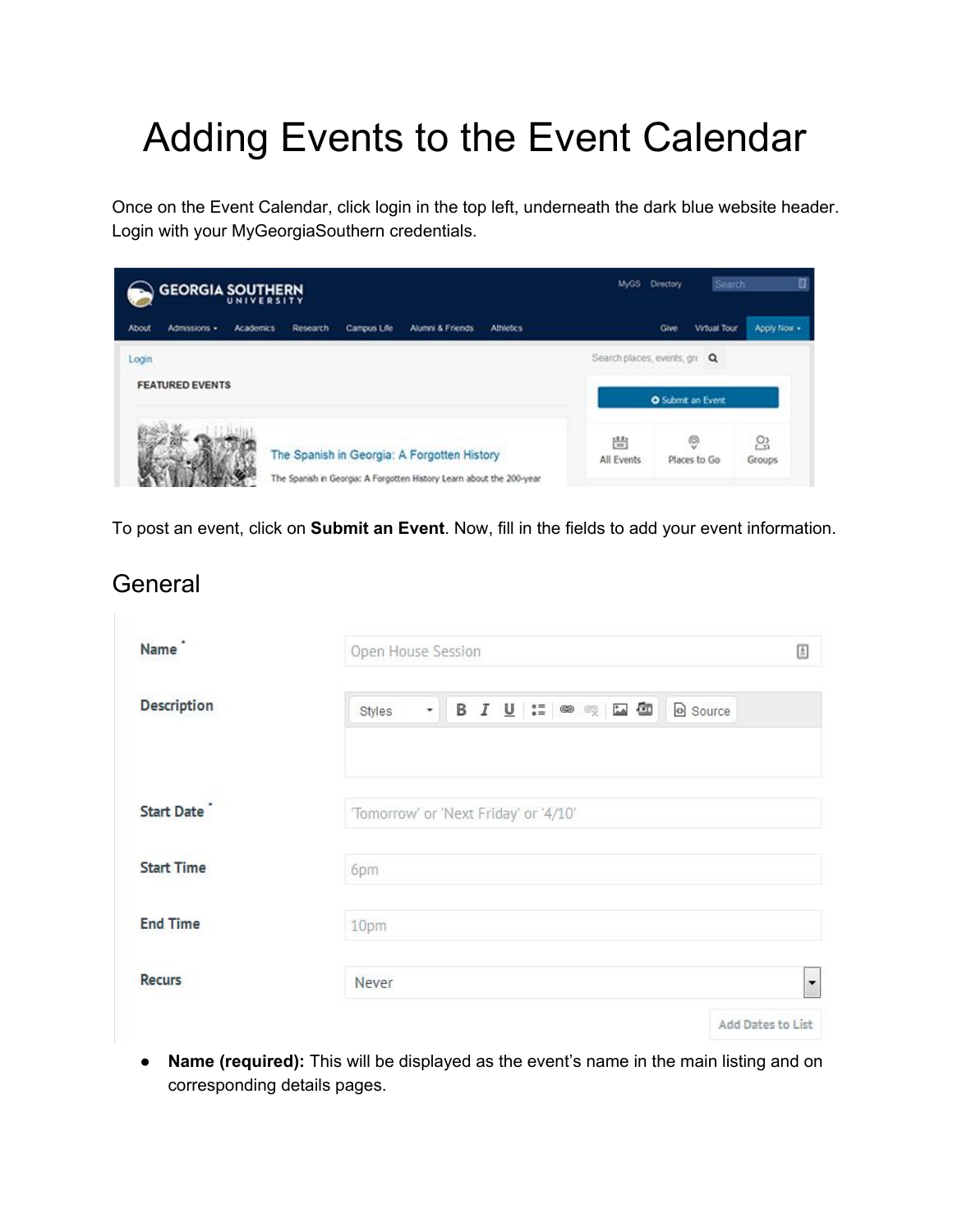# Adding Events to the Event Calendar

Once on the Event Calendar, click login in the top left, underneath the dark blue website header. Login with your MyGeorgiaSouthern credentials.



To post an event, click on **Submit an Event**.Now, fill in the fields to add your event information.

General

| Name               | Open House Session                                       |                   |  |
|--------------------|----------------------------------------------------------|-------------------|--|
| <b>Description</b> | $\cdot$ B $I$ U $:=$ $\circ$ $\circ$ E $\circ$<br>Styles | Source            |  |
| Start Date         | 'Tomorrow' or 'Next Friday' or '4/10'                    |                   |  |
| <b>Start Time</b>  | 6pm                                                      |                   |  |
| <b>End Time</b>    | 10pm                                                     |                   |  |
| <b>Recurs</b>      | Never                                                    | ▼                 |  |
|                    |                                                          | Add Dates to List |  |

● **Name(required):**This will be displayed as the event's name in the main listing and on corresponding details pages.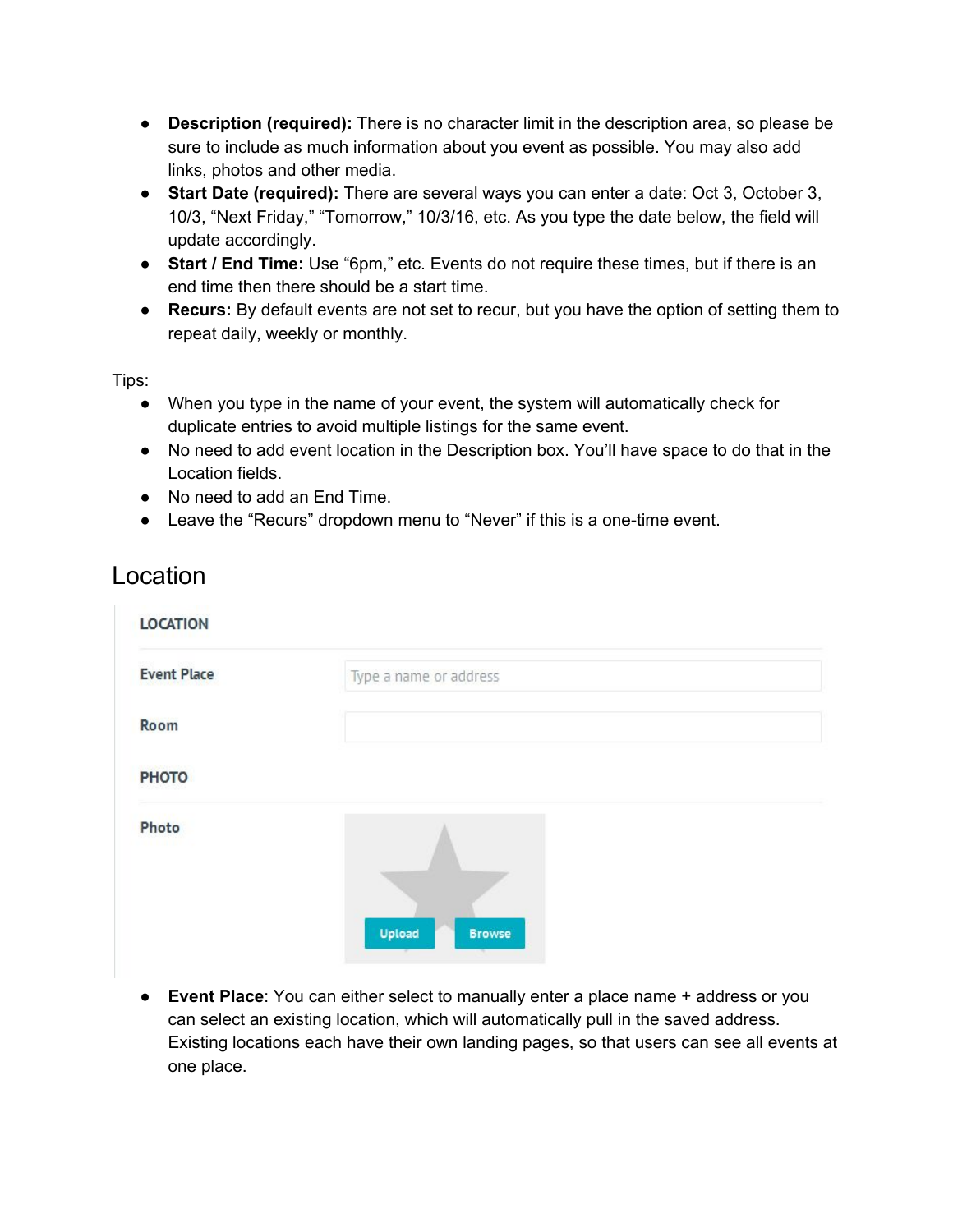- **Description (required):** There is no character limit in the description area, so please be sure to include as much information about you event as possible. You may also add links, photos and other media.
- **Start Date (required):** There are several ways you can enter a date: Oct 3, October 3, 10/3, "Next Friday," "Tomorrow," 10/3/16, etc. As you type the date below, the field will update accordingly.
- **Start / End Time:** Use "6pm," etc. Events do not require these times, but if there is an end time then there should be a start time.
- **Recurs:** By default events are not set to recur, but you have the option of setting them to repeat daily, weekly or monthly.

Tips:

- When you type in the name of your event, the system will automatically check for duplicate entries to avoid multiple listings for the same event.
- No need to add event location in the Description box. You'll have space to do that in the Location fields.
- No need to add an End Time.
- Leave the "Recurs" dropdown menu to "Never" if this is a one-time event.

#### Location

| <b>LOCATION</b>    |                                                              |
|--------------------|--------------------------------------------------------------|
| <b>Event Place</b> | Type a name or address                                       |
| Room               |                                                              |
| <b>PHOTO</b>       |                                                              |
| Photo              |                                                              |
|                    | Upload<br><b>Browse</b><br><b>STATISTICS</b><br><b>START</b> |

● **Event Place**: You can either select to manually enter a place name + address or you can select an existing location, which will automatically pull in the saved address. Existing locations each have their own landing pages, so that users can see all events at one place.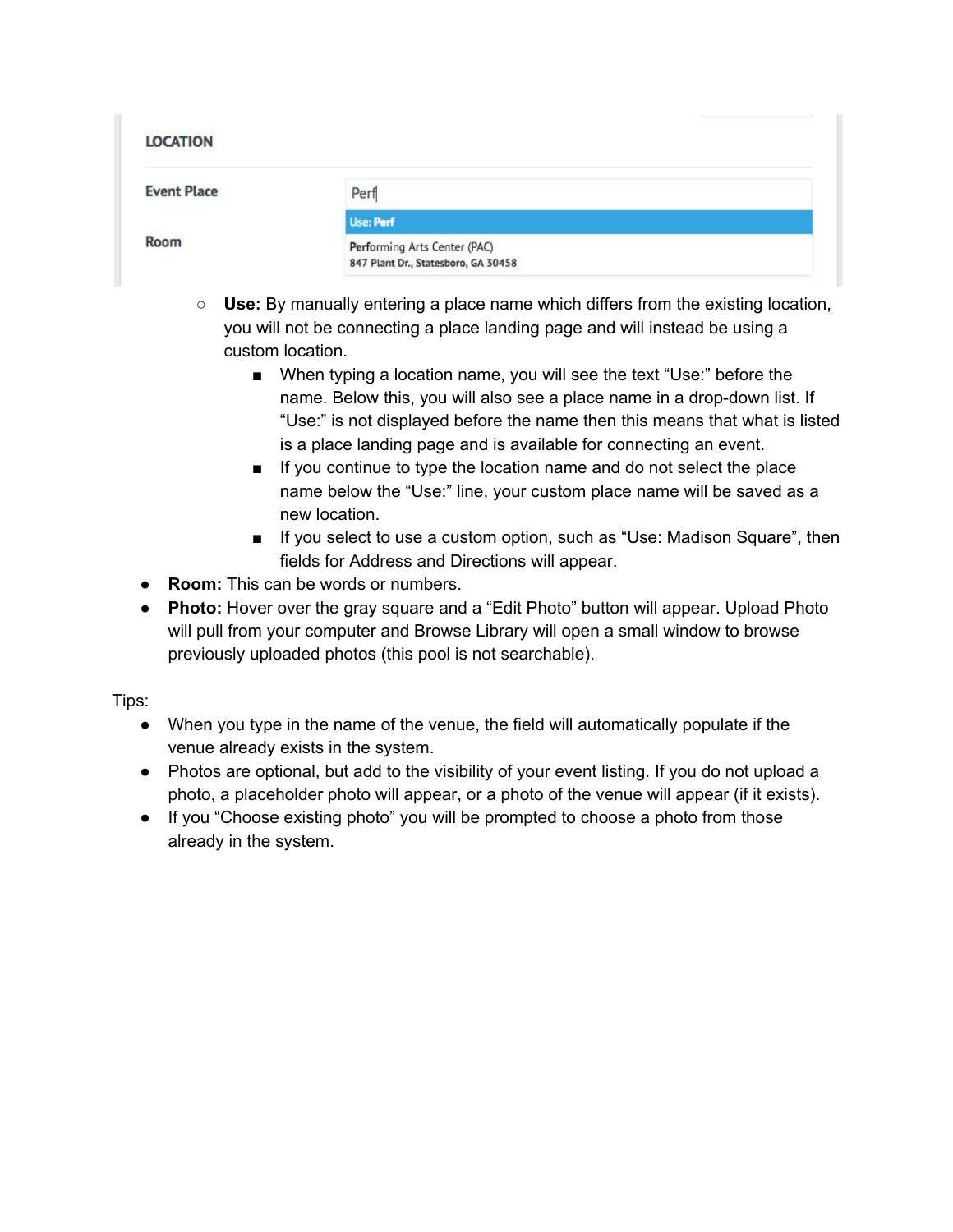| <b>LOCATION</b>    |                                                                     |
|--------------------|---------------------------------------------------------------------|
| <b>Event Place</b> | Perf                                                                |
|                    | Use: Perf                                                           |
| Room               | Performing Arts Center (PAC)<br>847 Plant Dr., Statesboro, GA 30458 |

- **Use:** By manually entering a place name which differs from the existing location, you will not be connecting a place landing page and will instead be using a custom location.
	- When typing a location name, you will see the text "Use:" before the name. Below this, you will also see a place name in a drop-down list. If "Use:" is not displayed before the name then this means that what is listed is a place landing page and is available for connecting an event.
	- If you continue to type the location name and do not select the place name below the "Use:" line, your custom place name will be saved as a new location.
	- If you select to use a custom option, such as "Use: Madison Square", then fields for Address and Directions will appear.
- **Room:** This can be words or numbers.
- **Photo:** Hover over the gray square and a "Edit Photo" button will appear. Upload Photo will pull from your computer and Browse Library will open a small window to browse previously uploaded photos (this pool is not searchable).

Tips:

- When you type in the name of the venue, the field will automatically populate if the venue already exists in the system.
- Photos are optional, but add to the visibility of your event listing. If you do not upload a photo, a placeholder photo will appear, or a photo of the venue will appear (if it exists).
- If you "Choose existing photo" you will be prompted to choose a photo from those already in the system.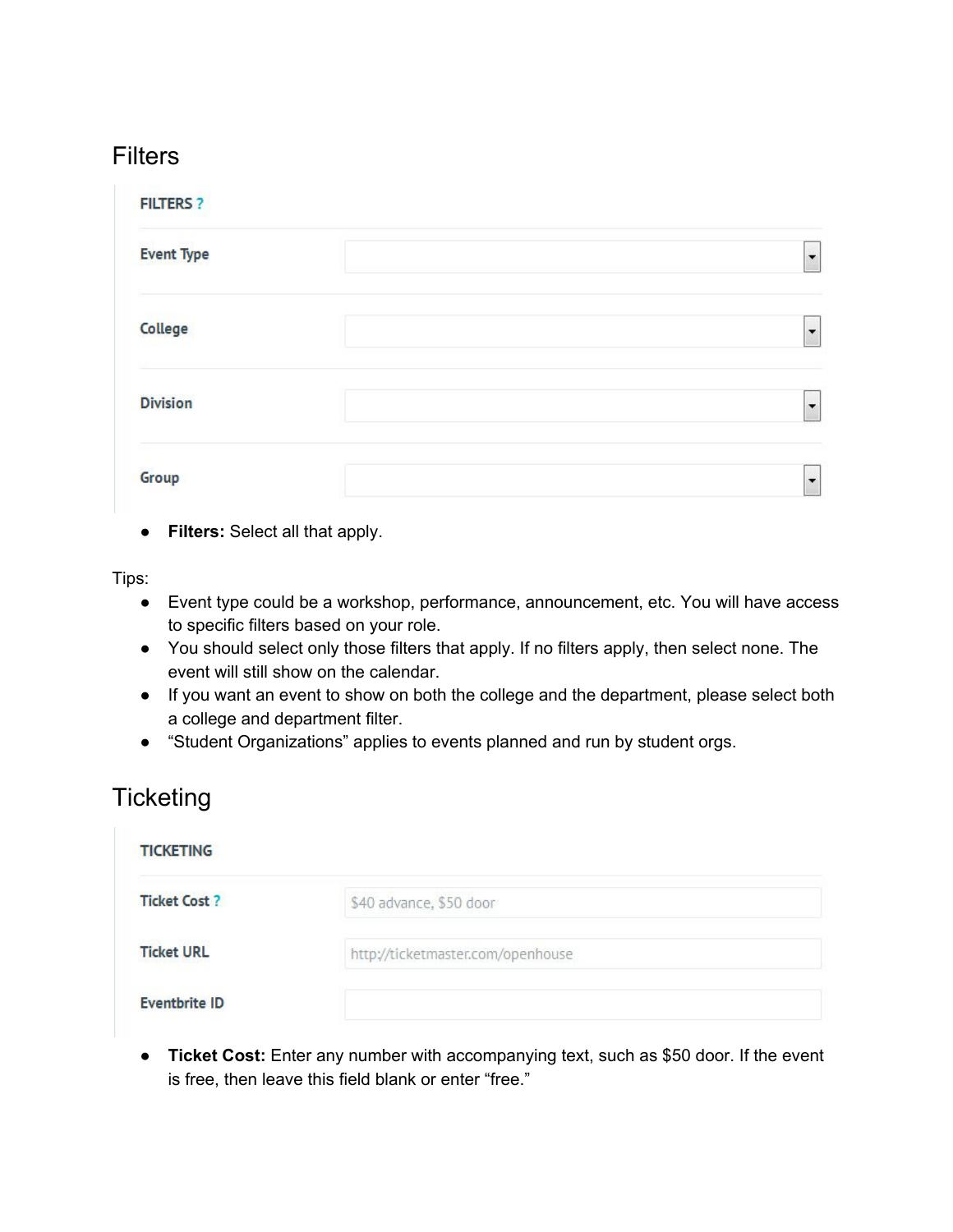#### **Filters**

| <b>FILTERS ?</b>  |                          |
|-------------------|--------------------------|
| <b>Event Type</b> | $\overline{\phantom{a}}$ |
| College           | $\overline{\phantom{a}}$ |
| <b>Division</b>   | $\overline{\phantom{a}}$ |
| Group             | ▼                        |

● **Filters:** Select all that apply.

Tips:

- Event type could be a workshop, performance, announcement, etc. You will have access to specific filters based on your role.
- You should select only those filters that apply. If no filters apply, then select none. The event will still show on the calendar.
- If you want an event to show on both the college and the department, please select both a college and department filter.
- "Student Organizations" applies to events planned and run by student orgs.

#### **Ticketing**

| <b>TICKETING</b>     |                                   |
|----------------------|-----------------------------------|
| <b>Ticket Cost ?</b> | \$40 advance, \$50 door           |
| <b>Ticket URL</b>    | http://ticketmaster.com/openhouse |
| <b>Eventbrite ID</b> |                                   |

● **Ticket Cost:** Enter any number with accompanying text, such as \$50 door. If the event is free, then leave this field blank or enter "free."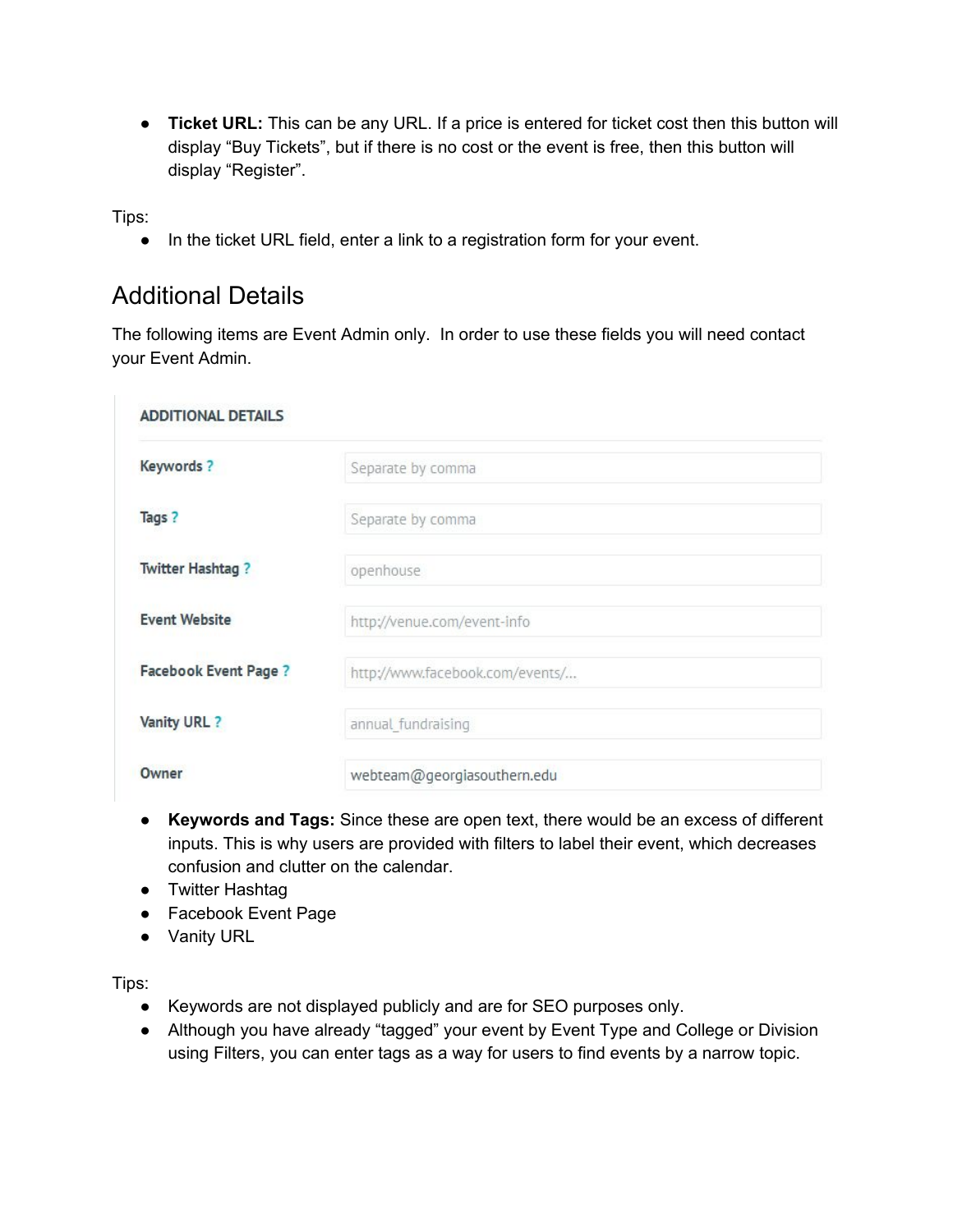● **Ticket URL:** This can be any URL. If a price is entered for ticket cost then this button will display "Buy Tickets", but if there is no cost or the event is free, then this button will display "Register".

Tips:

● In the ticket URL field, enter a link to a registration form for your event.

#### Additional Details

The following items are Event Admin only. In order to use these fields you will need contact your Event Admin.

| <b>ADDITIONAL DETAILS</b>    |                                 |
|------------------------------|---------------------------------|
| Keywords?                    | Separate by comma               |
| Tags?                        | Separate by comma               |
| <b>Twitter Hashtag?</b>      | openhouse                       |
| <b>Event Website</b>         | http://venue.com/event-info     |
| <b>Facebook Event Page ?</b> | http://www.facebook.com/events/ |
| Vanity URL ?                 | annual fundraising              |
| Owner                        | webteam@georgiasouthern.edu     |

- **Keywords and Tags:**Since these are open text, there would be an excess of different inputs. This is why users are provided with filters to label their event, which decreases confusion and clutter on the calendar.
- Twitter Hashtag
- Facebook Event Page
- Vanity URL

Tips:

- Keywords are not displayed publicly and are for SEO purposes only.
- Although you have already "tagged" your event by Event Type and College or Division using Filters, you can enter tags as a way for users to find events by a narrow topic.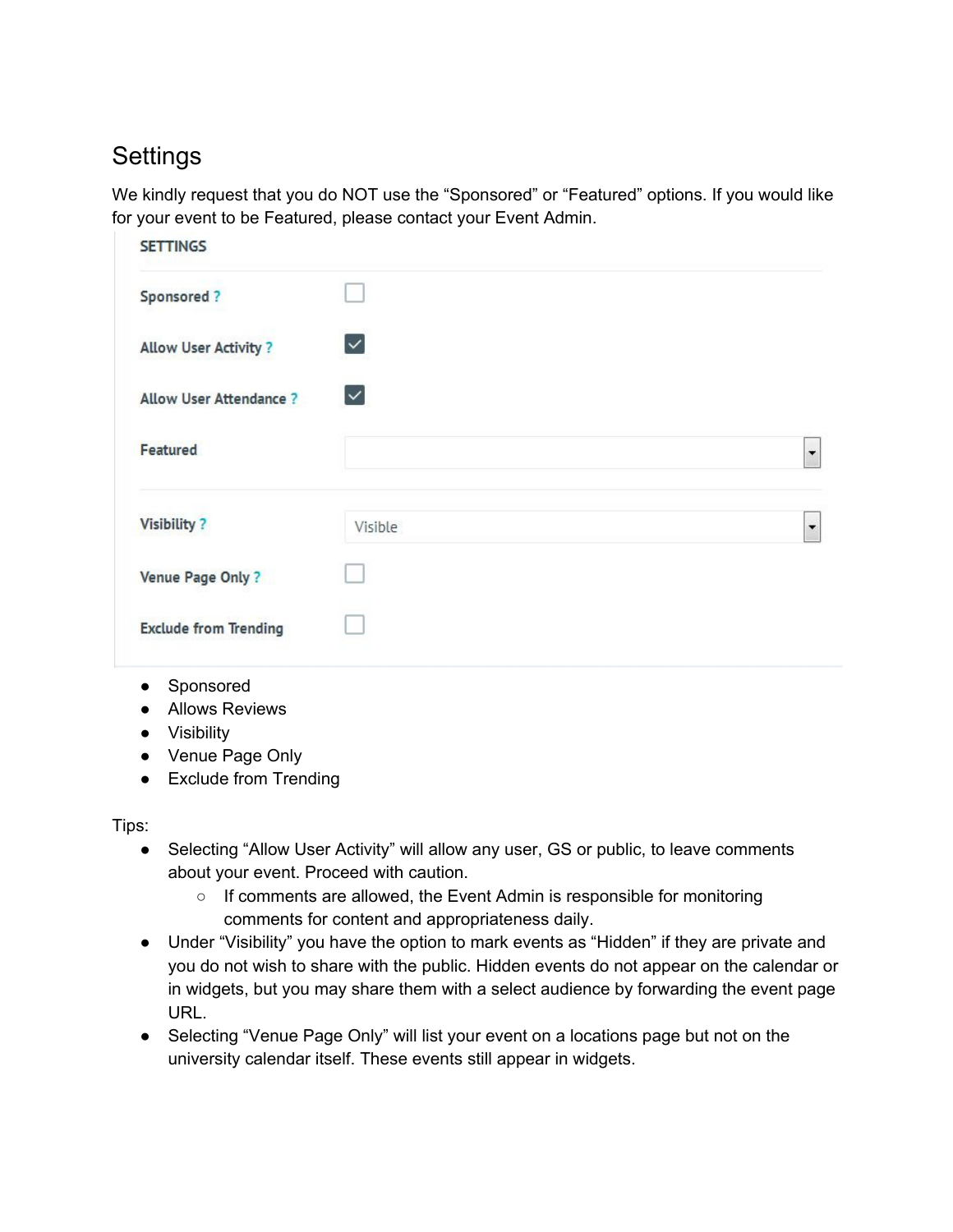## **Settings**

We kindly request that you do NOT use the "Sponsored" or "Featured" options. If you would like for your event to be Featured, please contact your Event Admin.

| <b>SETTINGS</b>               |                          |  |
|-------------------------------|--------------------------|--|
| Sponsored?                    |                          |  |
| <b>Allow User Activity?</b>   | $\vert \checkmark \vert$ |  |
| <b>Allow User Attendance?</b> | $\checkmark$             |  |
| Featured                      |                          |  |
| <b>Visibility?</b>            | Visible                  |  |
| Venue Page Only?              |                          |  |
|                               |                          |  |

- Sponsored
- Allows Reviews
- Visibility
- Venue Page Only
- Exclude from Trending

Tips:

- Selecting "Allow User Activity" will allow any user, GS or public, to leave comments about your event. Proceed with caution.
	- If comments are allowed, the Event Admin is responsible for monitoring comments for content and appropriateness daily.
- Under "Visibility" you have the option to mark events as "Hidden" if they are private and you do not wish to share with the public. Hidden events do not appear on the calendar or in widgets, but you may share them with a select audience by forwarding the event page URL.
- Selecting "Venue Page Only" will list your event on a locations page but not on the university calendar itself. These events still appear in widgets.